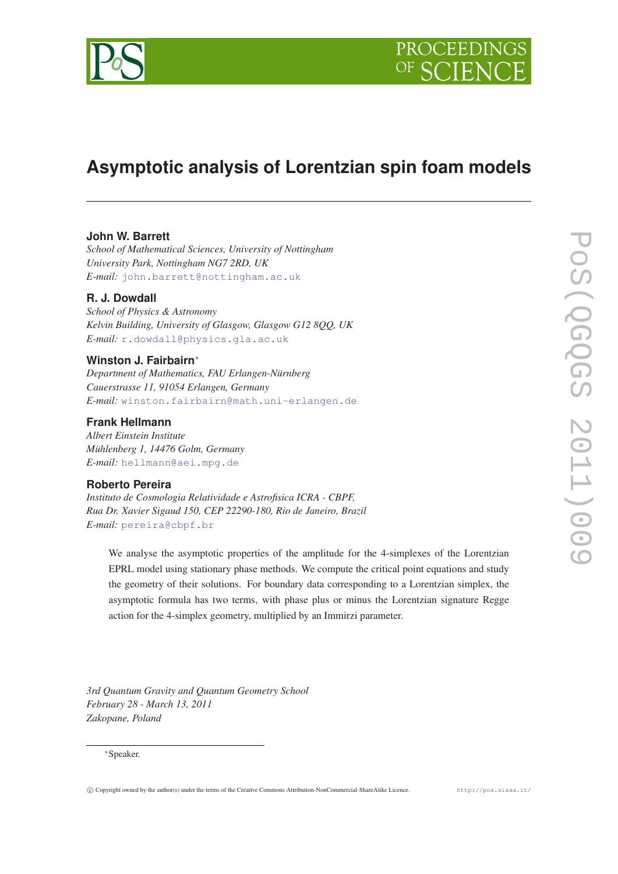

# **Asymptotic analysis of Lorentzian spin foam models**

# **John W. Barrett**

*School of Mathematical Sciences, University of Nottingham University Park, Nottingham NG7 2RD, UK E-mail:* [john.barrett@nottingham.ac.uk](mailto:john.barrett@nottingham.ac.uk)

# **R. J. Dowdall**

*School of Physics & Astronomy Kelvin Building, University of Glasgow, Glasgow G12 8QQ, UK E-mail:* [r.dowdall@physics.gla.ac.uk](mailto:r.dowdall@physics.gla.ac.uk)

# **Winston J. Fairbairn**<sup>∗</sup>

*Department of Mathematics, FAU Erlangen-Nürnberg Cauerstrasse 11, 91054 Erlangen, Germany E-mail:* [winston.fairbairn@math.uni-erlangen.de](mailto:winston.fairbairn@math.uni-erlangen.de)

## **Frank Hellmann**

*Albert Einstein Institute Mühlenberg 1, 14476 Golm, Germany E-mail:* [hellmann@aei.mpg.de](mailto:hellmann@aei.mpg.de)

# **Roberto Pereira**

*Instituto de Cosmologia Relatividade e Astrofisica ICRA - CBPF, Rua Dr. Xavier Sigaud 150, CEP 22290-180, Rio de Janeiro, Brazil E-mail:* [pereira@cbpf.br](mailto:pereira@cbpf.br)

We analyse the asymptotic properties of the amplitude for the 4-simplexes of the Lorentzian EPRL model using stationary phase methods. We compute the critical point equations and study the geometry of their solutions. For boundary data corresponding to a Lorentzian simplex, the asymptotic formula has two terms, with phase plus or minus the Lorentzian signature Regge action for the 4-simplex geometry, multiplied by an Immirzi parameter.

*3rd Quantum Gravity and Quantum Geometry School February 28 - March 13, 2011 Zakopane, Poland*

### <sup>∗</sup>Speaker.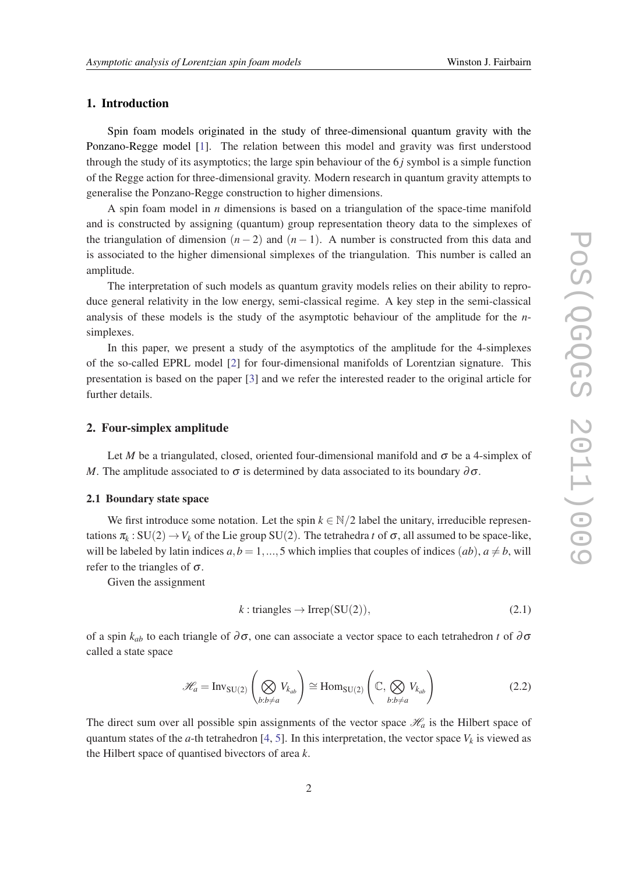### 1. Introduction

Spin foam models originated in the study of three-dimensional quantum gravity with the Ponzano-Regge model [\[1\]](#page-9-0). The relation between this model and gravity was first understood through the study of its asymptotics; the large spin behaviour of the 6 *j* symbol is a simple function of the Regge action for three-dimensional gravity. Modern research in quantum gravity attempts to generalise the Ponzano-Regge construction to higher dimensions.

A spin foam model in *n* dimensions is based on a triangulation of the space-time manifold and is constructed by assigning (quantum) group representation theory data to the simplexes of the triangulation of dimension  $(n-2)$  and  $(n-1)$ . A number is constructed from this data and is associated to the higher dimensional simplexes of the triangulation. This number is called an amplitude.

The interpretation of such models as quantum gravity models relies on their ability to reproduce general relativity in the low energy, semi-classical regime. A key step in the semi-classical analysis of these models is the study of the asymptotic behaviour of the amplitude for the *n*simplexes.

In this paper, we present a study of the asymptotics of the amplitude for the 4-simplexes of the so-called EPRL model [\[2\]](#page-9-0) for four-dimensional manifolds of Lorentzian signature. This presentation is based on the paper [\[3](#page-9-0)] and we refer the interested reader to the original article for further details.

### 2. Four-simplex amplitude

Let *M* be a triangulated, closed, oriented four-dimensional manifold and  $\sigma$  be a 4-simplex of *M*. The amplitude associated to  $\sigma$  is determined by data associated to its boundary  $\partial \sigma$ .

# 2.1 Boundary state space

We first introduce some notation. Let the spin  $k \in \mathbb{N}/2$  label the unitary, irreducible representations  $\pi_k$ : SU(2)  $\to$  *V<sub>k</sub>* of the Lie group SU(2). The tetrahedra *t* of  $\sigma$ , all assumed to be space-like, will be labeled by latin indices  $a, b = 1, ..., 5$  which implies that couples of indices  $(ab), a \neq b$ , will refer to the triangles of  $\sigma$ .

Given the assignment

$$
k: triangles \to Irrep(SU(2)), \tag{2.1}
$$

of a spin  $k_{ab}$  to each triangle of ∂ $\sigma$ , one can associate a vector space to each tetrahedron *t* of ∂ $\sigma$ called a state space

$$
\mathcal{H}_a = \text{Inv}_{\text{SU}(2)}\left(\bigotimes_{b:b \neq a} V_{k_{ab}}\right) \cong \text{Hom}_{\text{SU}(2)}\left(\mathbb{C}, \bigotimes_{b:b \neq a} V_{k_{ab}}\right) \tag{2.2}
$$

The direct sum over all possible spin assignments of the vector space  $\mathcal{H}_a$  is the Hilbert space of quantum states of the *a*-th tetrahedron [\[4,](#page-9-0) [5\]](#page-9-0). In this interpretation, the vector space  $V_k$  is viewed as the Hilbert space of quantised bivectors of area *k*.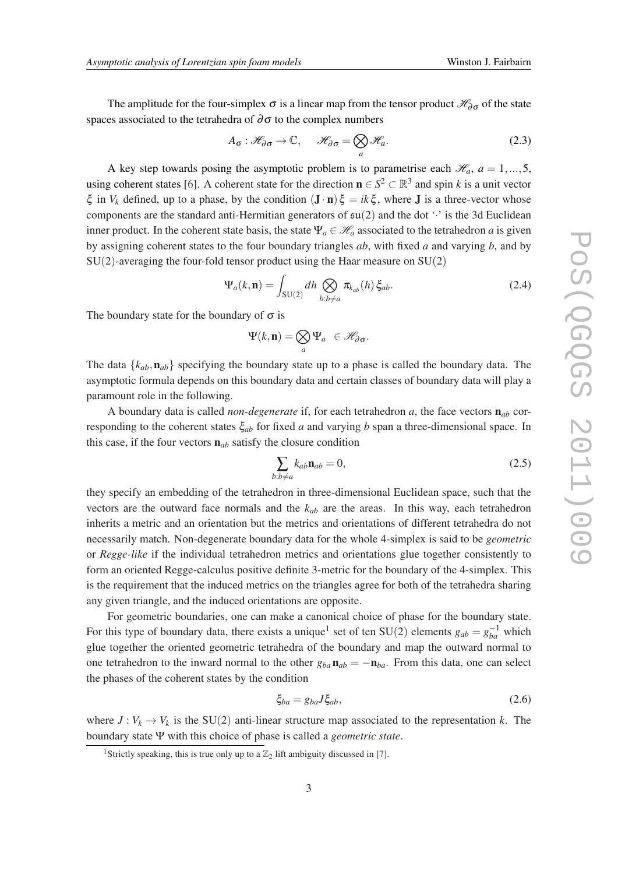The amplitude for the four-simplex  $\sigma$  is a linear map from the tensor product  $\mathcal{H}_{\partial\sigma}$  of the state spaces associated to the tetrahedra of  $\partial \sigma$  to the complex numbers

$$
A_{\sigma}: \mathcal{H}_{\partial \sigma} \to \mathbb{C}, \qquad \mathcal{H}_{\partial \sigma} = \bigotimes_{a} \mathcal{H}_{a}.
$$
 (2.3)

A key step towards posing the asymptotic problem is to parametrise each  $\mathcal{H}_a$ ,  $a = 1,...,5$ , using coherent states [[6](#page-9-0)]. A coherent state for the direction  $\mathbf{n} \in S^2 \subset \mathbb{R}^3$  and spin *k* is a unit vector  $\xi$  in  $V_k$  defined, up to a phase, by the condition  $(\mathbf{J} \cdot \mathbf{n}) \xi = ik \xi$ , where  $\mathbf{J}$  is a three-vector whose components are the standard anti-Hermitian generators of  $\mathfrak{su}(2)$  and the dot  $\cdot \cdot$  is the 3d Euclidean inner product. In the coherent state basis, the state  $\Psi_a \in \mathcal{H}_a$  associated to the tetrahedron *a* is given by assigning coherent states to the four boundary triangles *ab*, with fixed *a* and varying *b*, and by  $SU(2)$ -averaging the four-fold tensor product using the Haar measure on  $SU(2)$ 

$$
\Psi_a(k,\mathbf{n}) = \int_{SU(2)} dh \bigotimes_{b:b \neq a} \pi_{k_{ab}}(h) \xi_{ab}.
$$
 (2.4)

The boundary state for the boundary of  $\sigma$  is

$$
\Psi(k,\mathbf{n}) = \bigotimes_a \Psi_a \ \in \mathscr{H}_{\partial \sigma}.
$$

The data  $\{k_{ab}, \mathbf{n}_{ab}\}$  specifying the boundary state up to a phase is called the boundary data. The asymptotic formula depends on this boundary data and certain classes of boundary data will play a paramount role in the following.

A boundary data is called *non-degenerate* if, for each tetrahedron *a*, the face vectors n*ab* corresponding to the coherent states ξ*ab* for fixed *a* and varying *b* span a three-dimensional space. In this case, if the four vectors n*ab* satisfy the closure condition

$$
\sum_{b:b \neq a} k_{ab} \mathbf{n}_{ab} = 0,\tag{2.5}
$$

they specify an embedding of the tetrahedron in three-dimensional Euclidean space, such that the vectors are the outward face normals and the *kab* are the areas. In this way, each tetrahedron inherits a metric and an orientation but the metrics and orientations of different tetrahedra do not necessarily match. Non-degenerate boundary data for the whole 4-simplex is said to be *geometric* or *Regge-like* if the individual tetrahedron metrics and orientations glue together consistently to form an oriented Regge-calculus positive definite 3-metric for the boundary of the 4-simplex. This is the requirement that the induced metrics on the triangles agree for both of the tetrahedra sharing any given triangle, and the induced orientations are opposite.

For geometric boundaries, one can make a canonical choice of phase for the boundary state. For this type of boundary data, there exists a unique<sup>1</sup> set of ten SU(2) elements  $g_{ab} = g_{ba}^{-1}$  which glue together the oriented geometric tetrahedra of the boundary and map the outward normal to one tetrahedron to the inward normal to the other  $g_{ba} \mathbf{n}_{ab} = -\mathbf{n}_{ba}$ . From this data, one can select the phases of the coherent states by the condition

$$
\xi_{ba} = g_{ba} J \xi_{ab},\tag{2.6}
$$

where  $J: V_k \to V_k$  is the SU(2) anti-linear structure map associated to the representation *k*. The boundary state Ψ with this choice of phase is called a *geometric state*.

<sup>&</sup>lt;sup>1</sup> Strictly speaking, this is true only up to a  $\mathbb{Z}_2$  lift ambiguity discussed in [\[7\]](#page-9-0).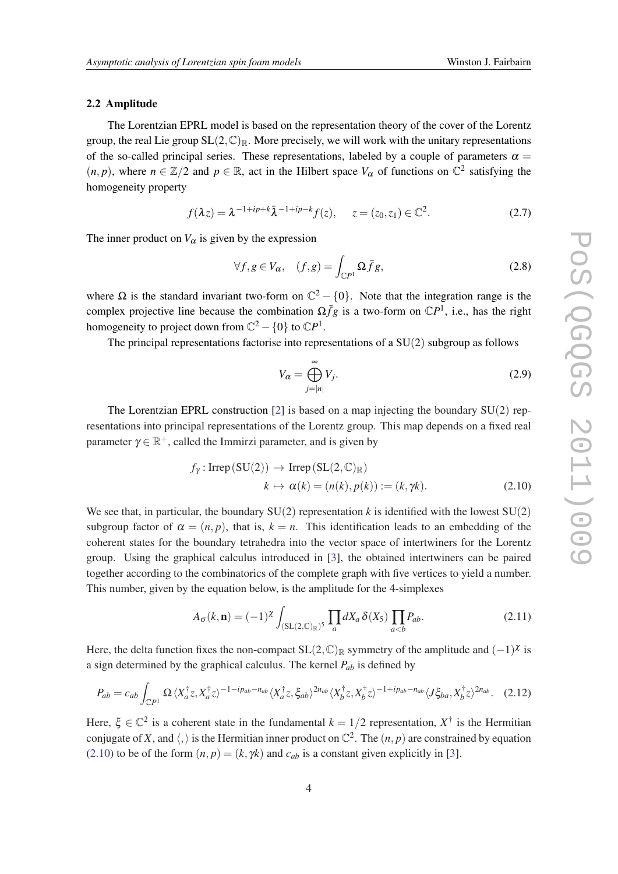### <span id="page-3-0"></span>2.2 Amplitude

The Lorentzian EPRL model is based on the representation theory of the cover of the Lorentz group, the real Lie group  $SL(2,\mathbb{C})_{\mathbb{R}}$ . More precisely, we will work with the unitary representations of the so-called principal series. These representations, labeled by a couple of parameters  $\alpha =$  $(n, p)$ , where  $n \in \mathbb{Z}/2$  and  $p \in \mathbb{R}$ , act in the Hilbert space  $V_{\alpha}$  of functions on  $\mathbb{C}^2$  satisfying the homogeneity property

$$
f(\lambda z) = \lambda^{-1 + ip + k} \bar{\lambda}^{-1 + ip - k} f(z), \quad z = (z_0, z_1) \in \mathbb{C}^2.
$$
 (2.7)

The inner product on  $V_\alpha$  is given by the expression

$$
\forall f, g \in V_{\alpha}, \quad (f, g) = \int_{\mathbb{C}P^1} \Omega \bar{f} g,\tag{2.8}
$$

where  $\Omega$  is the standard invariant two-form on  $\mathbb{C}^2 - \{0\}$ . Note that the integration range is the complex projective line because the combination  $\Omega \bar{f}g$  is a two-form on  $\mathbb{C}P^1$ , i.e., has the right homogeneity to project down from  $\mathbb{C}^2 - \{0\}$  to  $\mathbb{C}P^1$ .

The principal representations factorise into representations of a SU(2) subgroup as follows

$$
V_{\alpha} = \bigoplus_{j=|n|}^{\infty} V_j.
$$
 (2.9)

The Lorentzian EPRL construction [\[2\]](#page-9-0) is based on a map injecting the boundary  $SU(2)$  representations into principal representations of the Lorentz group. This map depends on a fixed real parameter  $\gamma \in \mathbb{R}^+$ , called the Immirzi parameter, and is given by

$$
f_{\gamma}
$$
: Irrep (SU(2))  $\rightarrow$  Irrep (SL(2, $\mathbb{C}$ )<sub>R</sub>)  
\n $k \mapsto \alpha(k) = (n(k), p(k)) := (k, \gamma k).$  (2.10)

We see that, in particular, the boundary  $SU(2)$  representation k is identified with the lowest  $SU(2)$ subgroup factor of  $\alpha = (n, p)$ , that is,  $k = n$ . This identification leads to an embedding of the coherent states for the boundary tetrahedra into the vector space of intertwiners for the Lorentz group. Using the graphical calculus introduced in [[3](#page-9-0)], the obtained intertwiners can be paired together according to the combinatorics of the complete graph with five vertices to yield a number. This number, given by the equation below, is the amplitude for the 4-simplexes

$$
A_{\sigma}(k,\mathbf{n}) = (-1)^{\chi} \int_{(\mathrm{SL}(2,\mathbb{C})_{\mathbb{R}})^5} \prod_a dX_a \,\delta(X_5) \prod_{a (2.11)
$$

Here, the delta function fixes the non-compact  $SL(2, \mathbb{C})_{\mathbb{R}}$  symmetry of the amplitude and  $(-1)^{\chi}$  is a sign determined by the graphical calculus. The kernel  $P_{ab}$  is defined by

$$
P_{ab} = c_{ab} \int_{\mathbb{C}P^1} \Omega \langle X_a^{\dagger} z, X_a^{\dagger} z \rangle^{-1 - ip_{ab} - n_{ab}} \langle X_a^{\dagger} z, \xi_{ab} \rangle^{2n_{ab}} \langle X_b^{\dagger} z, X_b^{\dagger} z \rangle^{-1 + ip_{ab} - n_{ab}} \langle J\xi_{ba}, X_b^{\dagger} z \rangle^{2n_{ab}}. \tag{2.12}
$$

Here,  $\xi \in \mathbb{C}^2$  is a coherent state in the fundamental  $k = 1/2$  representation,  $X^{\dagger}$  is the Hermitian conjugate of X, and  $\langle , \rangle$  is the Hermitian inner product on  $\mathbb{C}^2$ . The  $(n, p)$  are constrained by equation (2.10) to be of the form  $(n, p) = (k, \gamma k)$  and  $c_{ab}$  is a constant given explicitly in [\[3\]](#page-9-0).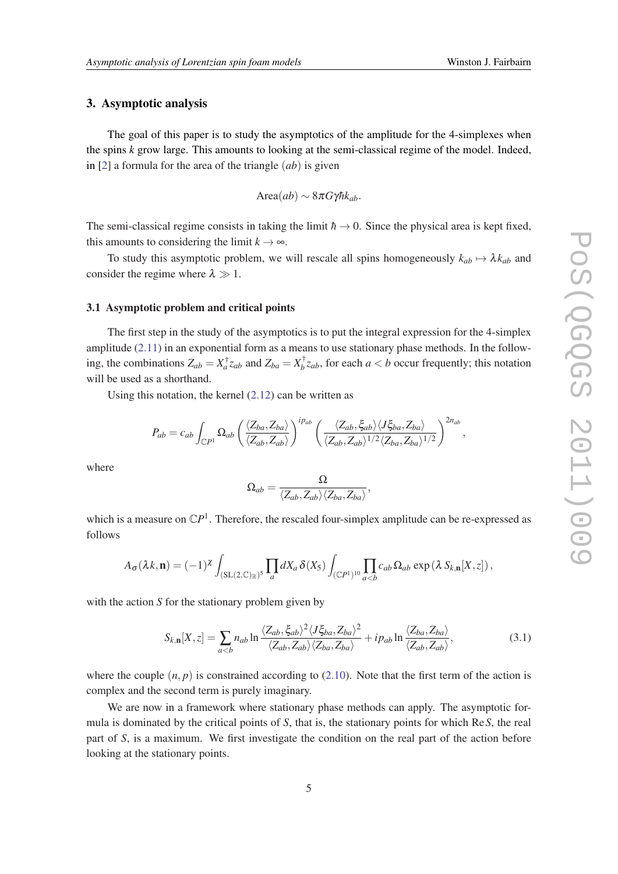### 3. Asymptotic analysis

The goal of this paper is to study the asymptotics of the amplitude for the 4-simplexes when the spins *k* grow large. This amounts to looking at the semi-classical regime of the model. Indeed, in [\[2\]](#page-9-0) a formula for the area of the triangle (*ab*) is given

$$
Area(ab) \sim 8\pi G\gamma\hbar k_{ab}.
$$

The semi-classical regime consists in taking the limit  $\hbar \rightarrow 0$ . Since the physical area is kept fixed, this amounts to considering the limit  $k \to \infty$ .

To study this asymptotic problem, we will rescale all spins homogeneously  $k_{ab} \mapsto \lambda k_{ab}$  and consider the regime where  $\lambda \gg 1$ .

### 3.1 Asymptotic problem and critical points

The first step in the study of the asymptotics is to put the integral expression for the 4-simplex amplitude [\(2.11](#page-3-0)) in an exponential form as a means to use stationary phase methods. In the following, the combinations  $Z_{ab} = X_a^{\dagger} z_{ab}$  and  $Z_{ba} = X_b^{\dagger}$  $\int_b^T z_{ab}$ , for each  $a < b$  occur frequently; this notation will be used as a shorthand.

Using this notation, the kernel  $(2.12)$  $(2.12)$  can be written as

$$
P_{ab}=c_{ab}\int_{\mathbb{C}P^1}\Omega_{ab}\left(\frac{\langle Z_{ba},Z_{ba}\rangle}{\langle Z_{ab},Z_{ab}\rangle}\right)^{ip_{ab}}\left(\frac{\langle Z_{ab},\xi_{ab}\rangle\langle J\xi_{ba},Z_{ba}\rangle}{\langle Z_{ab},Z_{ab}\rangle^{1/2}\langle Z_{ba},Z_{ba}\rangle^{1/2}}\right)^{2n_{ab}},
$$

where

$$
\Omega_{ab}=\frac{\Omega}{\langle Z_{ab},Z_{ab}\rangle\langle Z_{ba},Z_{ba}\rangle},
$$

which is a measure on  $\mathbb{C}P^1$ . Therefore, the rescaled four-simplex amplitude can be re-expressed as follows

$$
A_{\sigma}(\lambda k,\mathbf{n}) = (-1)^{\chi} \int_{(\mathrm{SL}(2,\mathbb{C})_{\mathbb{R}})^5} \prod_a dX_a \, \delta(X_5) \int_{(\mathbb{C}P^1)^{10}} \prod_{a
$$

with the action *S* for the stationary problem given by

$$
S_{k,n}[X,z] = \sum_{a(3.1)
$$

where the couple  $(n, p)$  is constrained according to  $(2.10)$  $(2.10)$ . Note that the first term of the action is complex and the second term is purely imaginary.

We are now in a framework where stationary phase methods can apply. The asymptotic formula is dominated by the critical points of *S*, that is, the stationary points for which Re*S*, the real part of *S*, is a maximum. We first investigate the condition on the real part of the action before looking at the stationary points.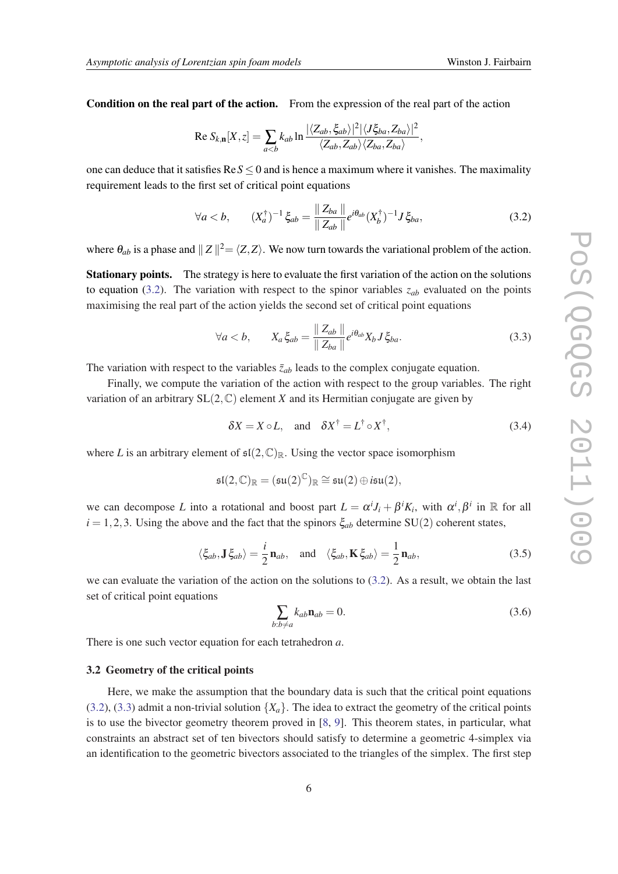<span id="page-5-0"></span>Condition on the real part of the action. From the expression of the real part of the action

Re 
$$
S_{k,n}[X, z] = \sum_{a
$$

one can deduce that it satisfies  $\text{Re} S \le 0$  and is hence a maximum where it vanishes. The maximality requirement leads to the first set of critical point equations

$$
\forall a < b, \qquad (X_a^{\dagger})^{-1} \xi_{ab} = \frac{\|Z_{ba}\|}{\|Z_{ab}\|} e^{i\theta_{ab}} (X_b^{\dagger})^{-1} J \xi_{ba}, \tag{3.2}
$$

where  $\theta_{ab}$  is a phase and  $||Z||^2 = \langle Z, Z \rangle$ . We now turn towards the variational problem of the action.

Stationary points. The strategy is here to evaluate the first variation of the action on the solutions to equation (3.2). The variation with respect to the spinor variables *zab* evaluated on the points maximising the real part of the action yields the second set of critical point equations

$$
\forall a < b, \qquad X_a \xi_{ab} = \frac{\|Z_{ab}\|}{\|Z_{ba}\|} e^{i\theta_{ab}} X_b J \xi_{ba}.
$$
 (3.3)

The variation with respect to the variables  $\bar{z}_{ab}$  leads to the complex conjugate equation.

Finally, we compute the variation of the action with respect to the group variables. The right variation of an arbitrary  $SL(2, \mathbb{C})$  element *X* and its Hermitian conjugate are given by

$$
\delta X = X \circ L, \quad \text{and} \quad \delta X^{\dagger} = L^{\dagger} \circ X^{\dagger}, \tag{3.4}
$$

where L is an arbitrary element of  $\mathfrak{sl}(2,\mathbb{C})_{\mathbb{R}}$ . Using the vector space isomorphism

$$
\mathfrak{sl}(2,\mathbb{C})_\mathbb{R}=(\mathfrak{su}(2)^\mathbb{C})_\mathbb{R}\cong \mathfrak{su}(2)\oplus i\mathfrak{su}(2),
$$

we can decompose *L* into a rotational and boost part  $L = \alpha^{i} J_{i} + \beta^{i} K_{i}$ , with  $\alpha^{i}$ ,  $\beta^{i}$  in R for all  $i = 1, 2, 3$ . Using the above and the fact that the spinors  $\xi_{ab}$  determine SU(2) coherent states,

$$
\langle \xi_{ab}, \mathbf{J} \xi_{ab} \rangle = \frac{i}{2} \mathbf{n}_{ab}, \text{ and } \langle \xi_{ab}, \mathbf{K} \xi_{ab} \rangle = \frac{1}{2} \mathbf{n}_{ab},
$$
 (3.5)

we can evaluate the variation of the action on the solutions to  $(3.2)$ . As a result, we obtain the last set of critical point equations

$$
\sum_{b:b \neq a} k_{ab} \mathbf{n}_{ab} = 0. \tag{3.6}
$$

There is one such vector equation for each tetrahedron *a*.

### 3.2 Geometry of the critical points

Here, we make the assumption that the boundary data is such that the critical point equations (3.2), (3.3) admit a non-trivial solution  $\{X_a\}$ . The idea to extract the geometry of the critical points is to use the bivector geometry theorem proved in [[8](#page-9-0), [9\]](#page-9-0). This theorem states, in particular, what constraints an abstract set of ten bivectors should satisfy to determine a geometric 4-simplex via an identification to the geometric bivectors associated to the triangles of the simplex. The first step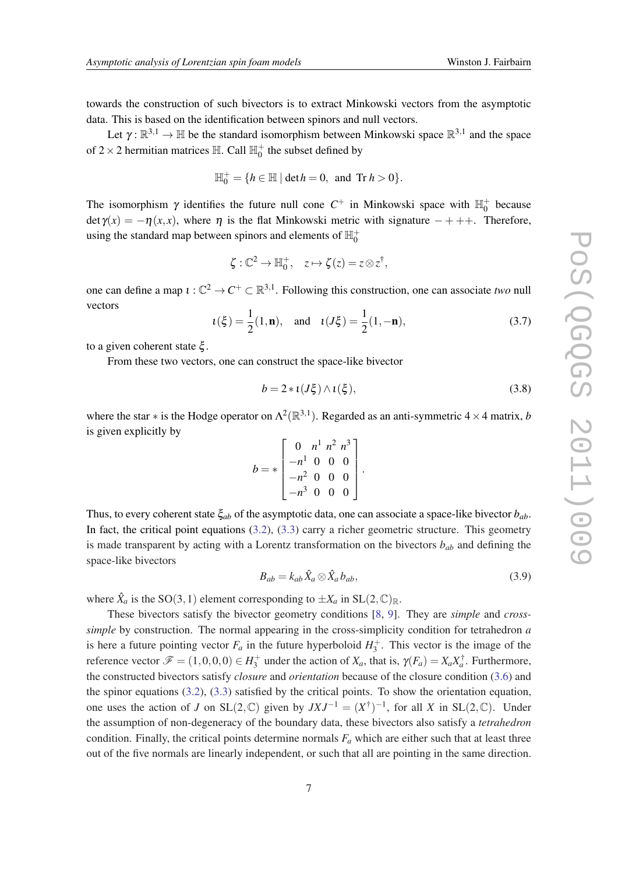towards the construction of such bivectors is to extract Minkowski vectors from the asymptotic data. This is based on the identification between spinors and null vectors.

Let  $\gamma : \mathbb{R}^{3,1} \to \mathbb{H}$  be the standard isomorphism between Minkowski space  $\mathbb{R}^{3,1}$  and the space of  $2 \times 2$  hermitian matrices  $\mathbb{H}$ . Call  $\mathbb{H}_0^+$  the subset defined by

$$
\mathbb{H}_0^+ = \{ h \in \mathbb{H} \mid \det h = 0, \text{ and Tr } h > 0 \}.
$$

The isomorphism  $\gamma$  identifies the future null cone  $C^+$  in Minkowski space with  $\mathbb{H}_0^+$  because det γ(*x*) = −η(*x*, *x*), where η is the flat Minkowski metric with signature − + ++. Therefore, using the standard map between spinors and elements of  $\mathbb{H}^+_0$ 

$$
\zeta: \mathbb{C}^2 \to \mathbb{H}_0^+, \quad z \mapsto \zeta(z) = z \otimes z^{\dagger},
$$

one can define a map  $\iota : \mathbb{C}^2 \to C^+ \subset \mathbb{R}^{3,1}$ . Following this construction, one can associate *two* null vectors

$$
u(\xi) = \frac{1}{2}(1, \mathbf{n}), \text{ and } u(J\xi) = \frac{1}{2}(1, -\mathbf{n}),
$$
 (3.7)

to a given coherent state ξ .

From these two vectors, one can construct the space-like bivector

$$
b = 2 * \iota(J\xi) \wedge \iota(\xi),\tag{3.8}
$$

where the star  $*$  is the Hodge operator on  $\Lambda^2(\mathbb{R}^{3,1})$ . Regarded as an anti-symmetric 4  $\times$  4 matrix, *b* is given explicitly by

$$
b = * \begin{bmatrix} 0 & n^1 & n^2 & n^3 \\ -n^1 & 0 & 0 & 0 \\ -n^2 & 0 & 0 & 0 \\ -n^3 & 0 & 0 & 0 \end{bmatrix}.
$$

Thus, to every coherent state ξ*ab* of the asymptotic data, one can associate a space-like bivector *bab*. In fact, the critical point equations  $(3.2)$  $(3.2)$  $(3.2)$ ,  $(3.3)$  $(3.3)$  $(3.3)$  carry a richer geometric structure. This geometry is made transparent by acting with a Lorentz transformation on the bivectors *bab* and defining the space-like bivectors

$$
B_{ab} = k_{ab} \hat{X}_a \otimes \hat{X}_a b_{ab}, \tag{3.9}
$$

where  $\hat{X}_a$  is the SO(3,1) element corresponding to  $\pm X_a$  in SL(2,  $\mathbb{C}_{\mathbb{R}}$ .

These bivectors satisfy the bivector geometry conditions [[8](#page-9-0), [9](#page-9-0)]. They are *simple* and *crosssimple* by construction. The normal appearing in the cross-simplicity condition for tetrahedron *a* is here a future pointing vector  $F_a$  in the future hyperboloid  $H_3^+$ . This vector is the image of the reference vector  $\mathscr{F} = (1,0,0,0) \in H_3^+$  under the action of  $X_a$ , that is,  $\gamma(F_a) = X_a X_a^{\dagger}$ . Furthermore, the constructed bivectors satisfy *closure* and *orientation* because of the closure condition [\(3.6\)](#page-5-0) and the spinor equations [\(3.2\)](#page-5-0), [\(3.3\)](#page-5-0) satisfied by the critical points. To show the orientation equation, one uses the action of *J* on SL(2,  $\mathbb{C}$ ) given by  $JXJ^{-1} = (X^{\dagger})^{-1}$ , for all *X* in SL(2,  $\mathbb{C}$ ). Under the assumption of non-degeneracy of the boundary data, these bivectors also satisfy a *tetrahedron* condition. Finally, the critical points determine normals  $F_a$  which are either such that at least three out of the five normals are linearly independent, or such that all are pointing in the same direction.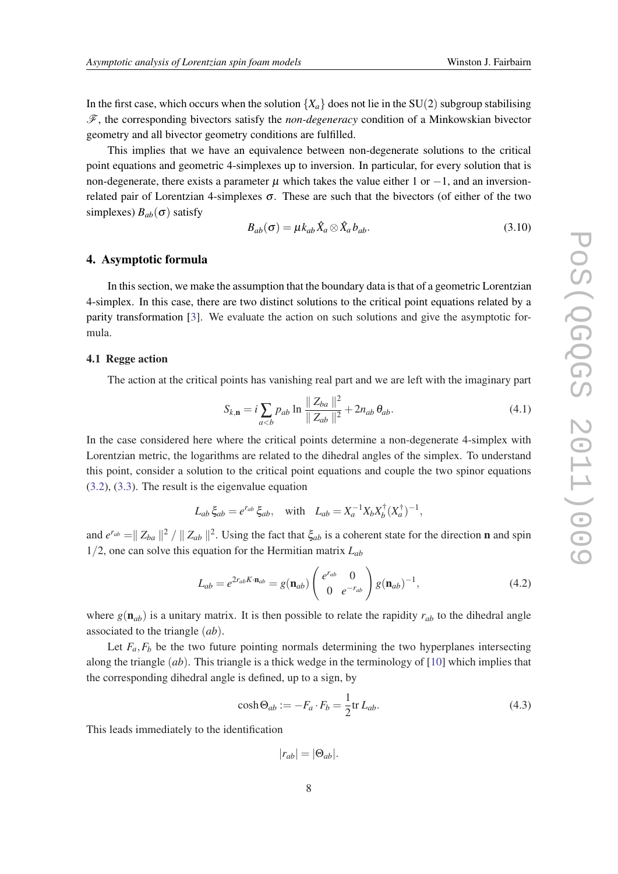<span id="page-7-0"></span>In the first case, which occurs when the solution  ${X_a}$  does not lie in the SU(2) subgroup stabilising F, the corresponding bivectors satisfy the *non-degeneracy* condition of a Minkowskian bivector geometry and all bivector geometry conditions are fulfilled.

This implies that we have an equivalence between non-degenerate solutions to the critical point equations and geometric 4-simplexes up to inversion. In particular, for every solution that is non-degenerate, there exists a parameter  $\mu$  which takes the value either 1 or  $-1$ , and an inversionrelated pair of Lorentzian 4-simplexes  $\sigma$ . These are such that the bivectors (of either of the two simplexes)  $B_{ab}(\sigma)$  satisfy

$$
B_{ab}(\sigma) = \mu k_{ab} \hat{X}_a \otimes \hat{X}_a b_{ab}.
$$
\n(3.10)

### 4. Asymptotic formula

In this section, we make the assumption that the boundary data is that of a geometric Lorentzian 4-simplex. In this case, there are two distinct solutions to the critical point equations related by a parity transformation [[3](#page-9-0)]. We evaluate the action on such solutions and give the asymptotic formula.

# 4.1 Regge action

The action at the critical points has vanishing real part and we are left with the imaginary part

$$
S_{k,n} = i \sum_{a (4.1)
$$

In the case considered here where the critical points determine a non-degenerate 4-simplex with Lorentzian metric, the logarithms are related to the dihedral angles of the simplex. To understand this point, consider a solution to the critical point equations and couple the two spinor equations ([3.2\)](#page-5-0), [\(3.3\)](#page-5-0). The result is the eigenvalue equation

$$
L_{ab}\xi_{ab} = e^{r_{ab}}\xi_{ab}, \quad \text{with} \quad L_{ab} = X_a^{-1}X_bX_b^{\dagger}(X_a^{\dagger})^{-1},
$$

and  $e^{r_{ab}} = \|Z_{ba}\|^2 / \|Z_{ab}\|^2$ . Using the fact that  $\xi_{ab}$  is a coherent state for the direction **n** and spin 1/2, one can solve this equation for the Hermitian matrix *Lab*

$$
L_{ab} = e^{2r_{ab}K \cdot \mathbf{n}_{ab}} = g(\mathbf{n}_{ab}) \begin{pmatrix} e^{r_{ab}} & 0\\ 0 & e^{-r_{ab}} \end{pmatrix} g(\mathbf{n}_{ab})^{-1},
$$
(4.2)

where  $g(\mathbf{n}_{ab})$  is a unitary matrix. It is then possible to relate the rapidity  $r_{ab}$  to the dihedral angle associated to the triangle (*ab*).

Let  $F_a$ , $F_b$  be the two future pointing normals determining the two hyperplanes intersecting along the triangle (*ab*). This triangle is a thick wedge in the terminology of [[10\]](#page-9-0) which implies that the corresponding dihedral angle is defined, up to a sign, by

$$
\cosh \Theta_{ab} := -F_a \cdot F_b = \frac{1}{2} \text{tr} \, L_{ab}.
$$
\n(4.3)

This leads immediately to the identification

$$
|r_{ab}| = |\Theta_{ab}|.
$$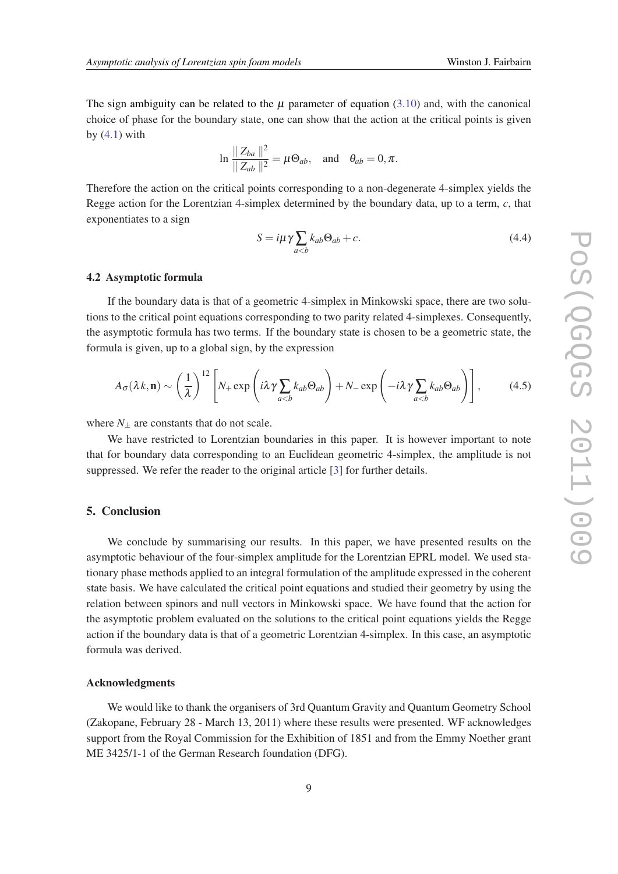The sign ambiguity can be related to the  $\mu$  parameter of equation [\(3.10](#page-7-0)) and, with the canonical choice of phase for the boundary state, one can show that the action at the critical points is given by  $(4.1)$  $(4.1)$  $(4.1)$  with

$$
\ln \frac{\| Z_{ba} \|^2}{\| Z_{ab} \|^2} = \mu \Theta_{ab}, \text{ and } \theta_{ab} = 0, \pi.
$$

Therefore the action on the critical points corresponding to a non-degenerate 4-simplex yields the Regge action for the Lorentzian 4-simplex determined by the boundary data, up to a term, *c*, that exponentiates to a sign

$$
S = i\mu\gamma \sum_{a (4.4)
$$

### 4.2 Asymptotic formula

If the boundary data is that of a geometric 4-simplex in Minkowski space, there are two solutions to the critical point equations corresponding to two parity related 4-simplexes. Consequently, the asymptotic formula has two terms. If the boundary state is chosen to be a geometric state, the formula is given, up to a global sign, by the expression

$$
A_{\sigma}(\lambda k, \mathbf{n}) \sim \left(\frac{1}{\lambda}\right)^{12} \left[N_{+} \exp\left(i\lambda \gamma \sum_{a (4.5)
$$

where  $N_{\pm}$  are constants that do not scale.

We have restricted to Lorentzian boundaries in this paper. It is however important to note that for boundary data corresponding to an Euclidean geometric 4-simplex, the amplitude is not suppressed. We refer the reader to the original article [\[3\]](#page-9-0) for further details.

# 5. Conclusion

We conclude by summarising our results. In this paper, we have presented results on the asymptotic behaviour of the four-simplex amplitude for the Lorentzian EPRL model. We used stationary phase methods applied to an integral formulation of the amplitude expressed in the coherent state basis. We have calculated the critical point equations and studied their geometry by using the relation between spinors and null vectors in Minkowski space. We have found that the action for the asymptotic problem evaluated on the solutions to the critical point equations yields the Regge action if the boundary data is that of a geometric Lorentzian 4-simplex. In this case, an asymptotic formula was derived.

### Acknowledgments

We would like to thank the organisers of 3rd Quantum Gravity and Quantum Geometry School (Zakopane, February 28 - March 13, 2011) where these results were presented. WF acknowledges support from the Royal Commission for the Exhibition of 1851 and from the Emmy Noether grant ME 3425/1-1 of the German Research foundation (DFG).